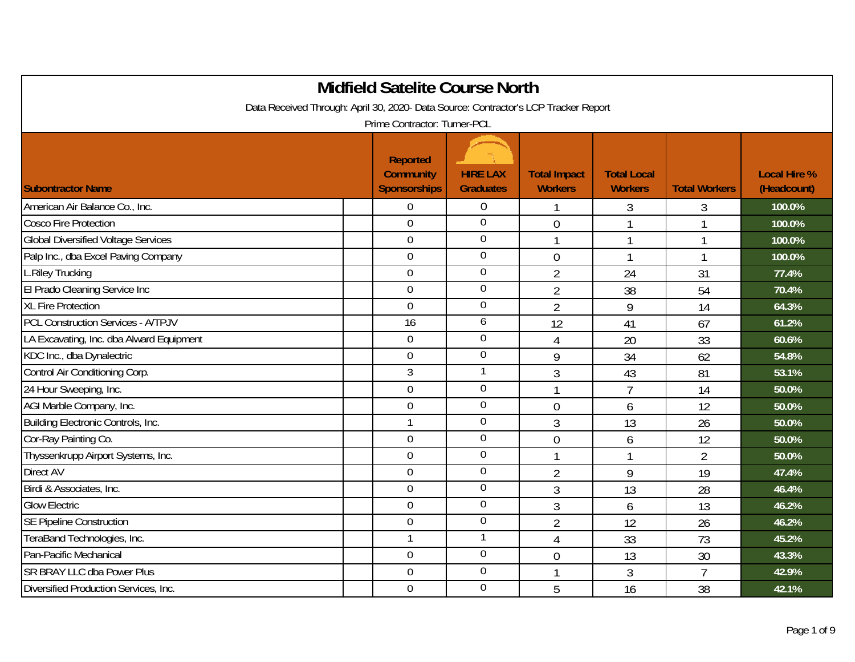| <b>Midfield Satelite Course North</b>                                               |                                                            |                                     |                                       |                                      |                      |                                    |  |  |
|-------------------------------------------------------------------------------------|------------------------------------------------------------|-------------------------------------|---------------------------------------|--------------------------------------|----------------------|------------------------------------|--|--|
| Data Received Through: April 30, 2020- Data Source: Contractor's LCP Tracker Report |                                                            |                                     |                                       |                                      |                      |                                    |  |  |
| Prime Contractor: Turner-PCL                                                        |                                                            |                                     |                                       |                                      |                      |                                    |  |  |
| <b>Subontractor Name</b>                                                            | <b>Reported</b><br><b>Community</b><br><b>Sponsorships</b> | <b>HIRE LAX</b><br><b>Graduates</b> | <b>Total Impact</b><br><b>Workers</b> | <b>Total Local</b><br><b>Workers</b> | <b>Total Workers</b> | <b>Local Hire %</b><br>(Headcount) |  |  |
| American Air Balance Co., Inc.                                                      | $\Omega$                                                   | $\overline{0}$                      |                                       | 3                                    | 3                    | 100.0%                             |  |  |
| <b>Cosco Fire Protection</b>                                                        | $\overline{0}$                                             | $\overline{0}$                      | $\overline{0}$                        |                                      | 1                    | 100.0%                             |  |  |
| <b>Global Diversified Voltage Services</b>                                          | $\overline{0}$                                             | $\overline{0}$                      | 1                                     | $\mathbf{1}$                         | $\mathbf{1}$         | 100.0%                             |  |  |
| Palp Inc., dba Excel Paving Company                                                 | $\overline{0}$                                             | $\mathbf 0$                         | $\mathbf{0}$                          |                                      | 1                    | 100.0%                             |  |  |
| L.Riley Trucking                                                                    | $\mathbf 0$                                                | $\boldsymbol{0}$                    | $\overline{2}$                        | 24                                   | 31                   | 77.4%                              |  |  |
| El Prado Cleaning Service Inc                                                       | $\overline{0}$                                             | $\boldsymbol{0}$                    | $\overline{2}$                        | 38                                   | 54                   | 70.4%                              |  |  |
| <b>XL Fire Protection</b>                                                           | $\overline{0}$                                             | $\overline{0}$                      | $\overline{2}$                        | 9                                    | 14                   | 64.3%                              |  |  |
| <b>PCL Construction Services - A/TPJV</b>                                           | 16                                                         | 6                                   | 12                                    | 41                                   | 67                   | 61.2%                              |  |  |
| LA Excavating, Inc. dba Alward Equipment                                            | $\overline{0}$                                             | $\mathbf 0$                         | $\overline{4}$                        | 20                                   | 33                   | 60.6%                              |  |  |
| KDC Inc., dba Dynalectric                                                           | $\boldsymbol{0}$                                           | $\boldsymbol{0}$                    | 9                                     | 34                                   | 62                   | 54.8%                              |  |  |
| Control Air Conditioning Corp.                                                      | $\mathfrak{Z}$                                             | $\mathbf{1}$                        | 3                                     | 43                                   | 81                   | 53.1%                              |  |  |
| 24 Hour Sweeping, Inc.                                                              | $\overline{0}$                                             | $\overline{0}$                      |                                       | $\overline{7}$                       | 14                   | 50.0%                              |  |  |
| AGI Marble Company, Inc.                                                            | $\mathbf 0$                                                | $\overline{0}$                      | $\mathbf{0}$                          | 6                                    | 12                   | 50.0%                              |  |  |
| Building Electronic Controls, Inc.                                                  | $\mathbf{1}$                                               | $\mathbf 0$                         | 3                                     | 13                                   | 26                   | 50.0%                              |  |  |
| Cor-Ray Painting Co.                                                                | $\overline{0}$                                             | $\mathbf 0$                         | $\theta$                              | 6                                    | 12                   | 50.0%                              |  |  |
| Thyssenkrupp Airport Systems, Inc.                                                  | $\mathbf 0$                                                | $\boldsymbol{0}$                    |                                       |                                      | $\overline{2}$       | 50.0%                              |  |  |
| <b>Direct AV</b>                                                                    | $\mathbf 0$                                                | $\boldsymbol{0}$                    | $\overline{2}$                        | 9                                    | 19                   | 47.4%                              |  |  |
| Birdi & Associates, Inc.                                                            | $\theta$                                                   | $\overline{0}$                      | 3                                     | 13                                   | 28                   | 46.4%                              |  |  |
| <b>Glow Electric</b>                                                                | $\overline{0}$                                             | $\boldsymbol{0}$                    | 3                                     | 6                                    | 13                   | 46.2%                              |  |  |
| <b>SE Pipeline Construction</b>                                                     | $\mathbf 0$                                                | $\mathbf 0$                         | $\overline{2}$                        | 12                                   | 26                   | 46.2%                              |  |  |
| TeraBand Technologies, Inc.                                                         | $\mathbf{1}$                                               | $\mathbf{1}$                        | $\overline{4}$                        | 33                                   | 73                   | 45.2%                              |  |  |
| Pan-Pacific Mechanical                                                              | $\mathbf 0$                                                | $\overline{0}$                      | $\overline{0}$                        | 13                                   | 30                   | 43.3%                              |  |  |
| <b>SR BRAY LLC dba Power Plus</b>                                                   | $\mathbf 0$                                                | $\boldsymbol{0}$                    |                                       | 3                                    | $\overline{7}$       | 42.9%                              |  |  |
| Diversified Production Services, Inc.                                               | $\overline{0}$                                             | $\overline{0}$                      | 5                                     | 16                                   | 38                   | 42.1%                              |  |  |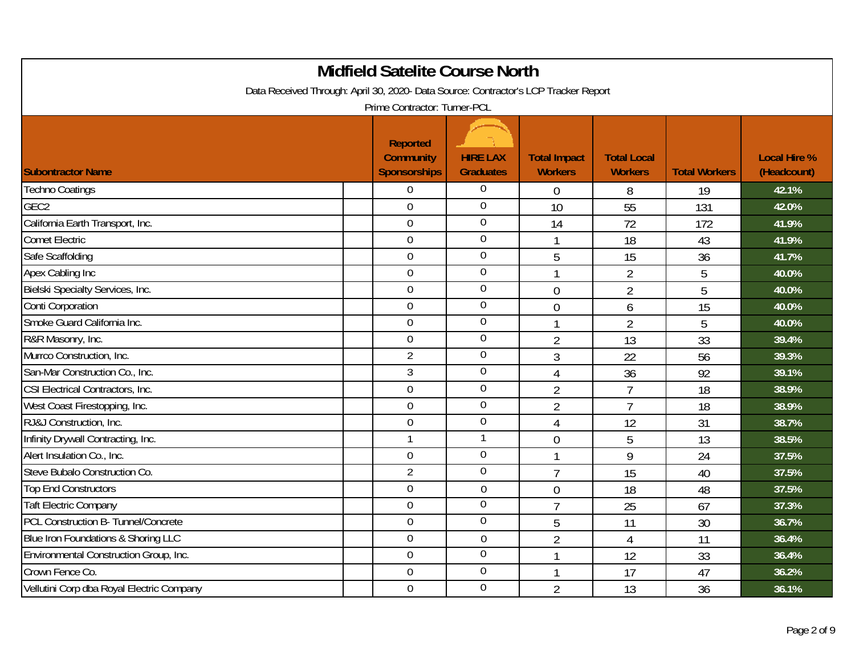| <b>Midfield Satelite Course North</b>                                               |                                                            |                                     |                                       |                                      |                      |                                    |  |  |
|-------------------------------------------------------------------------------------|------------------------------------------------------------|-------------------------------------|---------------------------------------|--------------------------------------|----------------------|------------------------------------|--|--|
| Data Received Through: April 30, 2020- Data Source: Contractor's LCP Tracker Report |                                                            |                                     |                                       |                                      |                      |                                    |  |  |
|                                                                                     | Prime Contractor: Turner-PCL                               |                                     |                                       |                                      |                      |                                    |  |  |
| <b>Subontractor Name</b>                                                            | <b>Reported</b><br><b>Community</b><br><b>Sponsorships</b> | <b>HIRE LAX</b><br><b>Graduates</b> | <b>Total Impact</b><br><b>Workers</b> | <b>Total Local</b><br><b>Workers</b> | <b>Total Workers</b> | <b>Local Hire %</b><br>(Headcount) |  |  |
| <b>Techno Coatings</b>                                                              | $\mathbf 0$                                                | $\overline{0}$                      | $\mathbf 0$                           | 8                                    | 19                   | 42.1%                              |  |  |
| GEC <sub>2</sub>                                                                    | $\overline{0}$                                             | $\overline{0}$                      | 10                                    | 55                                   | 131                  | 42.0%                              |  |  |
| California Earth Transport, Inc.                                                    | $\mathbf 0$                                                | $\overline{0}$                      | 14                                    | 72                                   | 172                  | 41.9%                              |  |  |
| <b>Comet Electric</b>                                                               | $\overline{0}$                                             | $\overline{0}$                      | $\overline{1}$                        | 18                                   | 43                   | 41.9%                              |  |  |
| Safe Scaffolding                                                                    | $\overline{0}$                                             | $\overline{0}$                      | 5                                     | 15                                   | 36                   | 41.7%                              |  |  |
| Apex Cabling Inc                                                                    | $\overline{0}$                                             | $\overline{0}$                      | $\mathbf{1}$                          | $\overline{2}$                       | 5                    | 40.0%                              |  |  |
| Bielski Specialty Services, Inc.                                                    | $\overline{0}$                                             | $\boldsymbol{0}$                    | $\mathbf{0}$                          | $\overline{2}$                       | 5                    | 40.0%                              |  |  |
| Conti Corporation                                                                   | $\overline{0}$                                             | $\boldsymbol{0}$                    | $\overline{0}$                        | 6                                    | 15                   | 40.0%                              |  |  |
| Smoke Guard California Inc.                                                         | $\overline{0}$                                             | $\overline{0}$                      | $\overline{1}$                        | $\overline{2}$                       | 5                    | 40.0%                              |  |  |
| R&R Masonry, Inc.                                                                   | $\overline{0}$                                             | $\overline{0}$                      | $\overline{2}$                        | 13                                   | 33                   | 39.4%                              |  |  |
| Murrco Construction, Inc.                                                           | $\overline{2}$                                             | $\overline{0}$                      | $\mathfrak{Z}$                        | 22                                   | 56                   | 39.3%                              |  |  |
| San-Mar Construction Co., Inc.                                                      | 3                                                          | $\overline{0}$                      | $\overline{4}$                        | 36                                   | 92                   | 39.1%                              |  |  |
| CSI Electrical Contractors, Inc.                                                    | $\overline{0}$                                             | $\overline{0}$                      | $\overline{2}$                        | $\overline{7}$                       | 18                   | 38.9%                              |  |  |
| West Coast Firestopping, Inc.                                                       | $\mathbf 0$                                                | $\boldsymbol{0}$                    | $\overline{2}$                        | $\overline{7}$                       | 18                   | 38.9%                              |  |  |
| RJ&J Construction, Inc.                                                             | $\overline{0}$                                             | $\boldsymbol{0}$                    | $\overline{4}$                        | 12                                   | 31                   | 38.7%                              |  |  |
| Infinity Drywall Contracting, Inc.                                                  | $\mathbf{1}$                                               | $\mathbf{1}$                        | $\overline{0}$                        | 5                                    | 13                   | 38.5%                              |  |  |
| Alert Insulation Co., Inc.                                                          | $\overline{0}$                                             | $\overline{0}$                      | $\overline{1}$                        | 9                                    | 24                   | 37.5%                              |  |  |
| Steve Bubalo Construction Co.                                                       | $\overline{2}$                                             | $\mathbf 0$                         | $\overline{7}$                        | 15                                   | 40                   | 37.5%                              |  |  |
| <b>Top End Constructors</b>                                                         | $\overline{0}$                                             | $\mathbf 0$                         | $\overline{0}$                        | 18                                   | 48                   | 37.5%                              |  |  |
| <b>Taft Electric Company</b>                                                        | $\overline{0}$                                             | $\overline{0}$                      | $\overline{7}$                        | 25                                   | 67                   | 37.3%                              |  |  |
| PCL Construction B- Tunnel/Concrete                                                 | $\overline{0}$                                             | $\overline{0}$                      | 5                                     | 11                                   | 30                   | 36.7%                              |  |  |
| Blue Iron Foundations & Shoring LLC                                                 | $\mathbf 0$                                                | $\mathbf 0$                         | $\overline{2}$                        | $\overline{4}$                       | 11                   | 36.4%                              |  |  |
| Environmental Construction Group, Inc.                                              | $\overline{0}$                                             | $\overline{0}$                      | $\mathbf{1}$                          | 12                                   | 33                   | 36.4%                              |  |  |
| Crown Fence Co.                                                                     | $\overline{0}$                                             | $\overline{0}$                      | 1                                     | 17                                   | 47                   | 36.2%                              |  |  |
| Vellutini Corp dba Royal Electric Company                                           | $\mathbf 0$                                                | $\overline{0}$                      | $\overline{2}$                        | 13                                   | 36                   | 36.1%                              |  |  |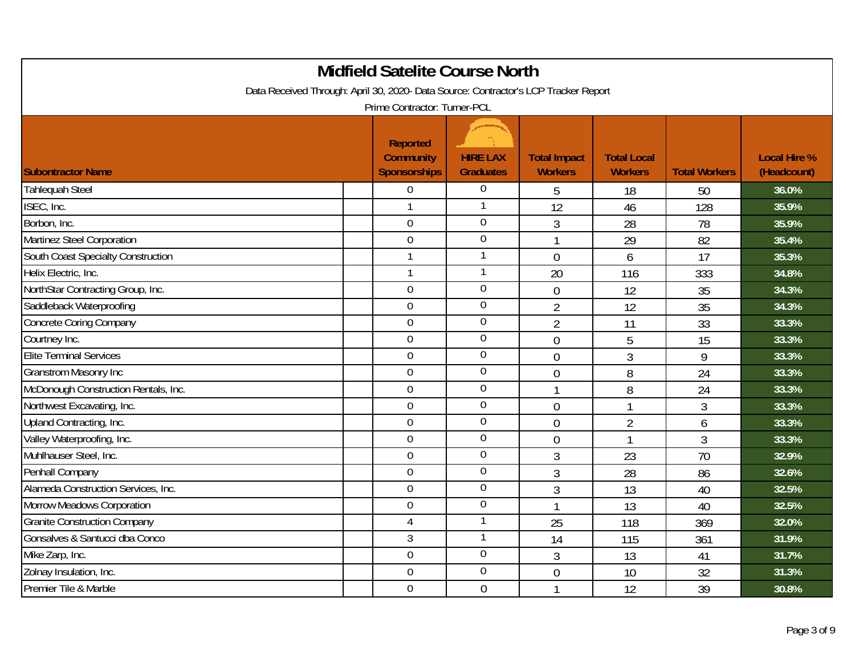|                                                                                                                     | <b>Midfield Satelite Course North</b> |                  |                     |                    |                      |                     |  |  |
|---------------------------------------------------------------------------------------------------------------------|---------------------------------------|------------------|---------------------|--------------------|----------------------|---------------------|--|--|
| Data Received Through: April 30, 2020- Data Source: Contractor's LCP Tracker Report<br>Prime Contractor: Turner-PCL |                                       |                  |                     |                    |                      |                     |  |  |
|                                                                                                                     |                                       |                  |                     |                    |                      |                     |  |  |
|                                                                                                                     | <b>Reported</b>                       |                  |                     |                    |                      |                     |  |  |
|                                                                                                                     | <b>Community</b>                      | <b>HIRE LAX</b>  | <b>Total Impact</b> | <b>Total Local</b> |                      | <b>Local Hire %</b> |  |  |
| <b>Subontractor Name</b>                                                                                            | <b>Sponsorships</b>                   | <b>Graduates</b> | <b>Workers</b>      | <b>Workers</b>     | <b>Total Workers</b> | (Headcount)         |  |  |
| Tahlequah Steel                                                                                                     | $\mathbf 0$                           | $\overline{0}$   | 5                   | 18                 | 50                   | 36.0%               |  |  |
| ISEC, Inc.                                                                                                          | $\overline{1}$                        | $\mathbf{1}$     | 12                  | 46                 | 128                  | 35.9%               |  |  |
| Borbon, Inc.                                                                                                        | $\overline{0}$                        | $\overline{0}$   | $\overline{3}$      | 28                 | 78                   | 35.9%               |  |  |
| Martinez Steel Corporation                                                                                          | $\overline{0}$                        | $\overline{0}$   | $\mathbf{1}$        | 29                 | 82                   | 35.4%               |  |  |
| South Coast Specialty Construction                                                                                  | $\mathbf{1}$                          | $\mathbf{1}$     | $\overline{0}$      | 6                  | 17                   | 35.3%               |  |  |
| Helix Electric, Inc.                                                                                                | $\mathbf{1}$                          | $\mathbf{1}$     | 20                  | 116                | 333                  | 34.8%               |  |  |
| NorthStar Contracting Group, Inc.                                                                                   | $\mathbf 0$                           | $\boldsymbol{0}$ | $\mathbf 0$         | 12                 | 35                   | 34.3%               |  |  |
| Saddleback Waterproofing                                                                                            | $\mathbf 0$                           | $\boldsymbol{0}$ | $\overline{2}$      | 12                 | 35                   | 34.3%               |  |  |
| <b>Concrete Coring Company</b>                                                                                      | $\overline{0}$                        | $\overline{0}$   | $\overline{2}$      | 11                 | 33                   | 33.3%               |  |  |
| Courtney Inc.                                                                                                       | $\overline{0}$                        | $\overline{0}$   | $\mathbf 0$         | 5                  | 15                   | 33.3%               |  |  |
| <b>Elite Terminal Services</b>                                                                                      | $\overline{0}$                        | $\overline{0}$   | $\overline{0}$      | $\mathfrak{Z}$     | 9                    | 33.3%               |  |  |
| <b>Granstrom Masonry Inc</b>                                                                                        | $\mathbf 0$                           | $\overline{0}$   | $\overline{0}$      | 8                  | 24                   | 33.3%               |  |  |
| McDonough Construction Rentals, Inc.                                                                                | $\overline{0}$                        | $\overline{0}$   | 1                   | 8                  | 24                   | 33.3%               |  |  |
| Northwest Excavating, Inc.                                                                                          | $\mathbf 0$                           | $\overline{0}$   | $\overline{0}$      | $\overline{1}$     | $\overline{3}$       | 33.3%               |  |  |
| Upland Contracting, Inc.                                                                                            | $\mathbf 0$                           | $\overline{0}$   | $\overline{0}$      | $\overline{2}$     | 6                    | 33.3%               |  |  |
| Valley Waterproofing, Inc.                                                                                          | $\overline{0}$                        | $\overline{0}$   | $\mathbf 0$         | $\overline{1}$     | 3                    | 33.3%               |  |  |
| Muhlhauser Steel, Inc.                                                                                              | $\overline{0}$                        | $\overline{0}$   | $\overline{3}$      | 23                 | 70                   | 32.9%               |  |  |
| Penhall Company                                                                                                     | $\mathbf 0$                           | $\boldsymbol{0}$ | 3                   | 28                 | 86                   | 32.6%               |  |  |
| Alameda Construction Services, Inc.                                                                                 | $\mathbf 0$                           | $\overline{0}$   | $\mathfrak{Z}$      | 13                 | 40                   | 32.5%               |  |  |
| Morrow Meadows Corporation                                                                                          | $\overline{0}$                        | $\overline{0}$   | $\mathbf{1}$        | 13                 | 40                   | 32.5%               |  |  |
| <b>Granite Construction Company</b>                                                                                 | 4                                     | $\mathbf{1}$     | 25                  | 118                | 369                  | 32.0%               |  |  |
| Gonsalves & Santucci dba Conco                                                                                      | 3                                     | $\overline{1}$   | 14                  | 115                | 361                  | 31.9%               |  |  |
| Mike Zarp, Inc.                                                                                                     | $\mathbf 0$                           | $\overline{0}$   | 3                   | 13                 | 41                   | 31.7%               |  |  |
| Zolnay Insulation, Inc.                                                                                             | $\overline{0}$                        | $\overline{0}$   | $\overline{0}$      | 10                 | 32                   | 31.3%               |  |  |
| Premier Tile & Marble                                                                                               | $\overline{0}$                        | $\overline{0}$   | $\mathbf{1}$        | 12                 | 39                   | 30.8%               |  |  |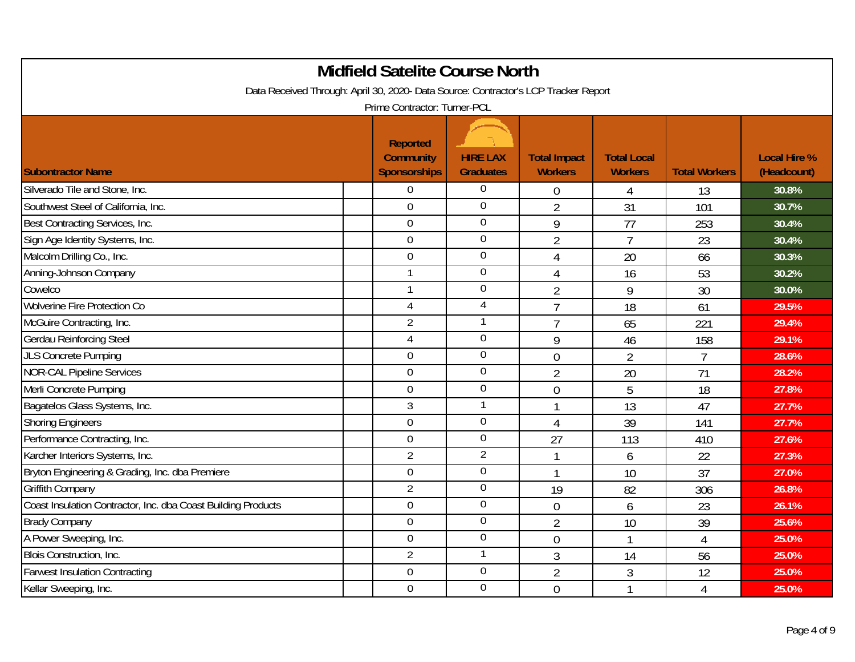|                                                                                     | <b>Midfield Satelite Course North</b>               |                                     |                                       |                                      |                      |                                    |
|-------------------------------------------------------------------------------------|-----------------------------------------------------|-------------------------------------|---------------------------------------|--------------------------------------|----------------------|------------------------------------|
| Data Received Through: April 30, 2020- Data Source: Contractor's LCP Tracker Report | Prime Contractor: Turner-PCL                        |                                     |                                       |                                      |                      |                                    |
| <b>Subontractor Name</b>                                                            | <b>Reported</b><br><b>Community</b><br>Sponsorships | <b>HIRE LAX</b><br><b>Graduates</b> | <b>Total Impact</b><br><b>Workers</b> | <b>Total Local</b><br><b>Workers</b> | <b>Total Workers</b> | <b>Local Hire %</b><br>(Headcount) |
| Silverado Tile and Stone, Inc.                                                      | $\mathbf 0$                                         | $\boldsymbol{0}$                    | $\mathbf 0$                           | 4                                    | 13                   | 30.8%                              |
| Southwest Steel of California, Inc.                                                 | $\overline{0}$                                      | $\overline{0}$                      | $\overline{2}$                        | 31                                   | 101                  | 30.7%                              |
| Best Contracting Services, Inc.                                                     | $\overline{0}$                                      | $\overline{0}$                      | $\overline{9}$                        | 77                                   | 253                  | 30.4%                              |
| Sign Age Identity Systems, Inc.                                                     | $\mathbf 0$                                         | $\boldsymbol{0}$                    | $\overline{2}$                        | $\overline{7}$                       | 23                   | 30.4%                              |
| Malcolm Drilling Co., Inc.                                                          | $\mathbf 0$                                         | $\boldsymbol{0}$                    | $\overline{4}$                        | 20                                   | 66                   | 30.3%                              |
| Anning-Johnson Company                                                              | $\mathbf{1}$                                        | $\mathbf 0$                         | $\overline{4}$                        | 16                                   | 53                   | 30.2%                              |
| Cowelco                                                                             | $\overline{1}$                                      | $\boldsymbol{0}$                    | $\overline{2}$                        | 9                                    | 30                   | 30.0%                              |
| Wolverine Fire Protection Co                                                        | $\overline{4}$                                      | $\overline{4}$                      | $\overline{7}$                        | 18                                   | 61                   | 29.5%                              |
| McGuire Contracting, Inc.                                                           | $\overline{2}$                                      | $\mathbf{1}$                        | $\overline{7}$                        | 65                                   | 221                  | 29.4%                              |
| <b>Gerdau Reinforcing Steel</b>                                                     | $\overline{4}$                                      | $\boldsymbol{0}$                    | 9                                     | 46                                   | 158                  | 29.1%                              |
| <b>JLS Concrete Pumping</b>                                                         | $\overline{0}$                                      | $\mathbf 0$                         | $\mathbf 0$                           | $\overline{2}$                       | $\overline{7}$       | 28.6%                              |
| <b>NOR-CAL Pipeline Services</b>                                                    | $\mathbf 0$                                         | $\boldsymbol{0}$                    | $\overline{2}$                        | 20                                   | 71                   | 28.2%                              |
| Merli Concrete Pumping                                                              | $\overline{0}$                                      | $\overline{0}$                      | $\overline{0}$                        | 5                                    | 18                   | 27.8%                              |
| Bagatelos Glass Systems, Inc.                                                       | $\mathfrak{Z}$                                      | $\mathbf{1}$                        | 1                                     | 13                                   | 47                   | 27.7%                              |
| <b>Shoring Engineers</b>                                                            | $\mathbf 0$                                         | $\boldsymbol{0}$                    | $\overline{4}$                        | 39                                   | 141                  | 27.7%                              |
| Performance Contracting, Inc.                                                       | $\mathbf 0$                                         | $\boldsymbol{0}$                    | 27                                    | 113                                  | 410                  | 27.6%                              |
| Karcher Interiors Systems, Inc.                                                     | $\overline{2}$                                      | $\overline{2}$                      |                                       | 6                                    | 22                   | 27.3%                              |
| Bryton Engineering & Grading, Inc. dba Premiere                                     | $\overline{0}$                                      | $\boldsymbol{0}$                    |                                       | 10                                   | 37                   | 27.0%                              |
| <b>Griffith Company</b>                                                             | $\overline{2}$                                      | $\boldsymbol{0}$                    | 19                                    | 82                                   | 306                  | 26.8%                              |
| Coast Insulation Contractor, Inc. dba Coast Building Products                       | $\Omega$                                            | $\overline{0}$                      | $\mathbf 0$                           | 6                                    | 23                   | 26.1%                              |
| <b>Brady Company</b>                                                                | $\overline{0}$                                      | $\mathbf 0$                         | $\overline{2}$                        | 10                                   | 39                   | 25.6%                              |
| A Power Sweeping, Inc.                                                              | $\mathbf 0$                                         | $\boldsymbol{0}$                    | $\mathbf 0$                           |                                      | $\overline{4}$       | 25.0%                              |
| Blois Construction, Inc.                                                            | $\overline{2}$                                      | $\mathbf{1}$                        | 3                                     | 14                                   | 56                   | 25.0%                              |
| <b>Farwest Insulation Contracting</b>                                               | $\overline{0}$                                      | $\overline{0}$                      | $\overline{2}$                        | 3                                    | 12                   | 25.0%                              |
| Kellar Sweeping, Inc.                                                               | $\mathbf 0$                                         | $\boldsymbol{0}$                    | $\overline{0}$                        |                                      | $\overline{4}$       | 25.0%                              |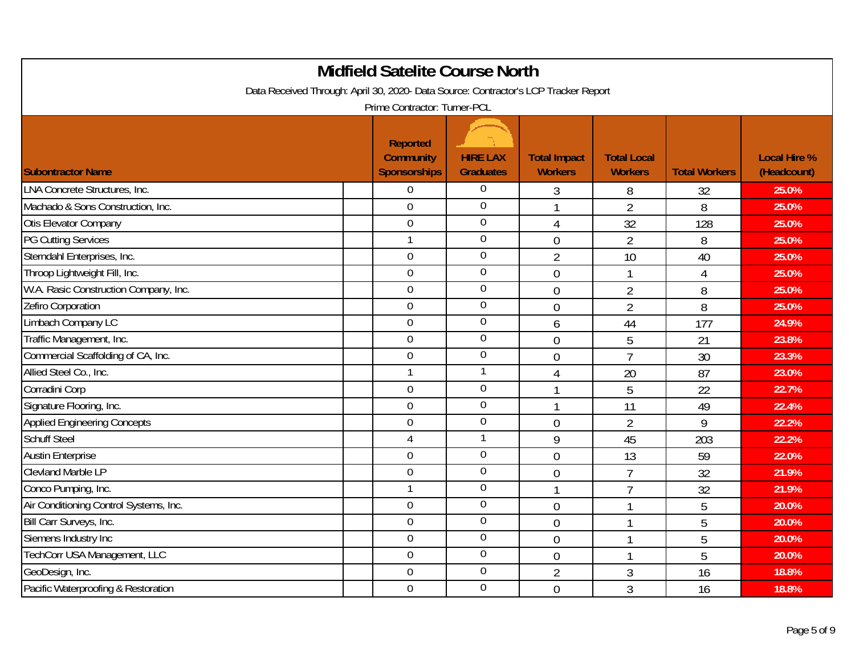|                                                                                     | <b>Midfield Satelite Course North</b>               |                                     |                                       |                                      |                      |                                    |
|-------------------------------------------------------------------------------------|-----------------------------------------------------|-------------------------------------|---------------------------------------|--------------------------------------|----------------------|------------------------------------|
| Data Received Through: April 30, 2020- Data Source: Contractor's LCP Tracker Report | Prime Contractor: Turner-PCL                        |                                     |                                       |                                      |                      |                                    |
| <b>Subontractor Name</b>                                                            | <b>Reported</b><br><b>Community</b><br>Sponsorships | <b>HIRE LAX</b><br><b>Graduates</b> | <b>Total Impact</b><br><b>Workers</b> | <b>Total Local</b><br><b>Workers</b> | <b>Total Workers</b> | <b>Local Hire %</b><br>(Headcount) |
| <b>LNA Concrete Structures, Inc.</b>                                                | $\mathbf 0$                                         | $\overline{0}$                      | 3                                     | 8                                    | 32                   | 25.0%                              |
| Machado & Sons Construction, Inc.                                                   | $\overline{0}$                                      | $\overline{0}$                      | $\mathbf{1}$                          | $\overline{2}$                       | 8                    | 25.0%                              |
| Otis Elevator Company                                                               | $\mathbf 0$                                         | $\overline{0}$                      | 4                                     | 32                                   | 128                  | 25.0%                              |
| <b>PG Cutting Services</b>                                                          | $\mathbf{1}$                                        | $\overline{0}$                      | $\overline{0}$                        | $\overline{2}$                       | 8                    | 25.0%                              |
| Sterndahl Enterprises, Inc.                                                         | $\mathbf 0$                                         | $\overline{0}$                      | $\overline{2}$                        | 10                                   | 40                   | 25.0%                              |
| Throop Lightweight Fill, Inc.                                                       | $\overline{0}$                                      | $\overline{0}$                      | $\mathbf 0$                           | $\mathbf{1}$                         | $\overline{4}$       | 25.0%                              |
| W.A. Rasic Construction Company, Inc.                                               | $\mathbf 0$                                         | $\boldsymbol{0}$                    | $\overline{0}$                        | $\overline{2}$                       | 8                    | 25.0%                              |
| Zefiro Corporation                                                                  | $\overline{0}$                                      | $\overline{0}$                      | $\mathbf 0$                           | $\overline{2}$                       | 8                    | 25.0%                              |
| Limbach Company LC                                                                  | $\overline{0}$                                      | $\overline{0}$                      | 6                                     | 44                                   | 177                  | 24.9%                              |
| Traffic Management, Inc.                                                            | $\mathbf 0$                                         | $\overline{0}$                      | $\overline{0}$                        | 5                                    | 21                   | 23.8%                              |
| Commercial Scaffolding of CA, Inc.                                                  | $\overline{0}$                                      | $\overline{0}$                      | $\mathbf 0$                           | $\overline{7}$                       | 30                   | 23.3%                              |
| Allied Steel Co., Inc.                                                              | $\mathbf{1}$                                        | $\overline{1}$                      | $\overline{4}$                        | 20                                   | 87                   | 23.0%                              |
| Corradini Corp                                                                      | $\overline{0}$                                      | $\overline{0}$                      | $\mathbf 1$                           | 5                                    | 22                   | 22.7%                              |
| Signature Flooring, Inc.                                                            | $\overline{0}$                                      | $\overline{0}$                      | $\mathbf{1}$                          | 11                                   | 49                   | 22.4%                              |
| <b>Applied Engineering Concepts</b>                                                 | $\overline{0}$                                      | $\boldsymbol{0}$                    | $\overline{0}$                        | $\overline{2}$                       | 9                    | 22.2%                              |
| <b>Schuff Steel</b>                                                                 | $\overline{4}$                                      | $\mathbf{1}$                        | 9                                     | 45                                   | 203                  | 22.2%                              |
| <b>Austin Enterprise</b>                                                            | $\overline{0}$                                      | $\overline{0}$                      | $\overline{0}$                        | 13                                   | 59                   | 22.0%                              |
| <b>Clevland Marble LP</b>                                                           | $\mathbf 0$                                         | $\overline{0}$                      | $\overline{0}$                        | $\overline{7}$                       | 32                   | 21.9%                              |
| Conco Pumping, Inc.                                                                 | $\mathbf{1}$                                        | $\boldsymbol{0}$                    | $\mathbf{1}$                          | $\overline{7}$                       | 32                   | 21.9%                              |
| Air Conditioning Control Systems, Inc.                                              | $\overline{0}$                                      | $\overline{0}$                      | $\overline{0}$                        |                                      | 5                    | 20.0%                              |
| Bill Carr Surveys, Inc.                                                             | $\overline{0}$                                      | $\overline{0}$                      | $\overline{0}$                        | -1                                   | 5                    | 20.0%                              |
| Siemens Industry Inc                                                                | $\mathbf 0$                                         | $\boldsymbol{0}$                    | $\overline{0}$                        | 1                                    | 5                    | 20.0%                              |
| TechCorr USA Management, LLC                                                        | $\mathbf 0$                                         | $\overline{0}$                      | $\mathbf 0$                           | $\mathbf{1}$                         | 5                    | 20.0%                              |
| GeoDesign, Inc.                                                                     | $\overline{0}$                                      | $\overline{0}$                      | $\overline{2}$                        | 3                                    | 16                   | 18.8%                              |
| Pacific Waterproofing & Restoration                                                 | $\mathbf 0$                                         | $\overline{0}$                      | $\overline{0}$                        | 3                                    | 16                   | 18.8%                              |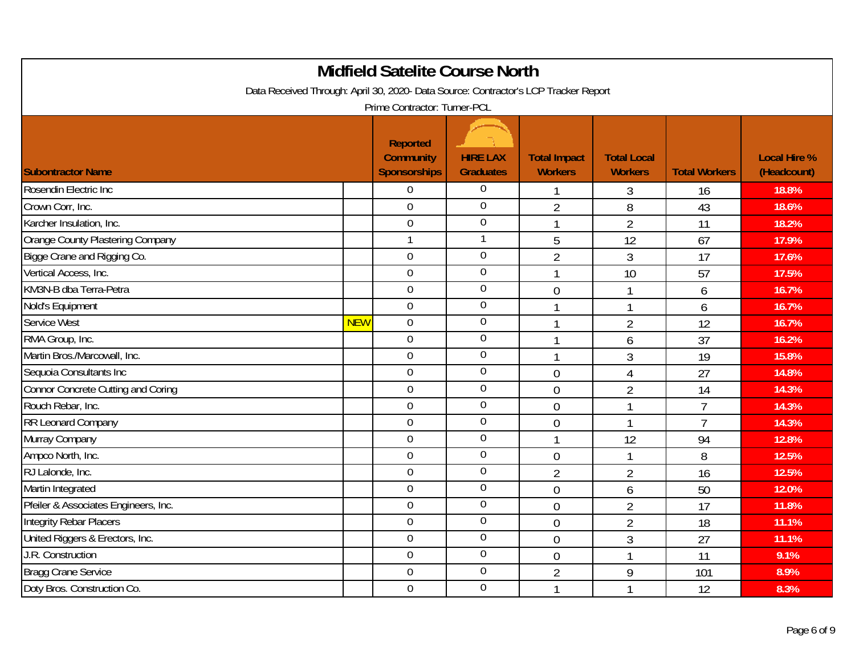| <b>Midfield Satelite Course North</b>                                               |            |                                                            |                                     |                                       |                                      |                      |                                    |  |
|-------------------------------------------------------------------------------------|------------|------------------------------------------------------------|-------------------------------------|---------------------------------------|--------------------------------------|----------------------|------------------------------------|--|
| Data Received Through: April 30, 2020- Data Source: Contractor's LCP Tracker Report |            |                                                            |                                     |                                       |                                      |                      |                                    |  |
|                                                                                     |            | Prime Contractor: Turner-PCL                               |                                     |                                       |                                      |                      |                                    |  |
| <b>Subontractor Name</b>                                                            |            | <b>Reported</b><br><b>Community</b><br><b>Sponsorships</b> | <b>HIRE LAX</b><br><b>Graduates</b> | <b>Total Impact</b><br><b>Workers</b> | <b>Total Local</b><br><b>Workers</b> | <b>Total Workers</b> | <b>Local Hire %</b><br>(Headcount) |  |
| Rosendin Electric Inc                                                               |            | $\boldsymbol{0}$                                           | $\overline{0}$                      | $\mathbf{1}$                          | 3                                    | 16                   | 18.8%                              |  |
| Crown Corr, Inc.                                                                    |            | $\overline{0}$                                             | $\overline{0}$                      | $\overline{2}$                        | 8                                    | 43                   | 18.6%                              |  |
| Karcher Insulation, Inc.                                                            |            | $\mathbf 0$                                                | $\overline{0}$                      | $\mathbf{1}$                          | $\overline{2}$                       | 11                   | 18.2%                              |  |
| Orange County Plastering Company                                                    |            | $\mathbf{1}$                                               | $\mathbf{1}$                        | 5                                     | 12                                   | 67                   | 17.9%                              |  |
| Bigge Crane and Rigging Co.                                                         |            | $\overline{0}$                                             | $\overline{0}$                      | $\overline{2}$                        | 3                                    | 17                   | 17.6%                              |  |
| Vertical Access, Inc.                                                               |            | $\overline{0}$                                             | $\overline{0}$                      | $\overline{1}$                        | 10                                   | 57                   | 17.5%                              |  |
| KM3N-B dba Terra-Petra                                                              |            | $\mathbf 0$                                                | $\boldsymbol{0}$                    | $\mathbf 0$                           | $\mathbf{1}$                         | 6                    | 16.7%                              |  |
| Nold's Equipment                                                                    |            | $\mathbf 0$                                                | $\boldsymbol{0}$                    | $\mathbf{1}$                          | $\mathbf{1}$                         | 6                    | 16.7%                              |  |
| Service West                                                                        | <b>NEW</b> | $\overline{0}$                                             | $\overline{0}$                      | $\overline{1}$                        | $\overline{2}$                       | 12                   | 16.7%                              |  |
| RMA Group, Inc.                                                                     |            | $\overline{0}$                                             | $\overline{0}$                      | $\mathbf{1}$                          | 6                                    | 37                   | 16.2%                              |  |
| Martin Bros./Marcowall, Inc.                                                        |            | $\overline{0}$                                             | $\overline{0}$                      | $\mathbf 1$                           | $\overline{3}$                       | 19                   | 15.8%                              |  |
| Sequoia Consultants Inc                                                             |            | $\overline{0}$                                             | $\overline{0}$                      | $\overline{0}$                        | $\overline{4}$                       | 27                   | 14.8%                              |  |
| Connor Concrete Cutting and Coring                                                  |            | $\overline{0}$                                             | $\overline{0}$                      | $\overline{0}$                        | $\overline{2}$                       | 14                   | 14.3%                              |  |
| Rouch Rebar, Inc.                                                                   |            | $\mathbf 0$                                                | $\boldsymbol{0}$                    | $\overline{0}$                        | $\overline{1}$                       | $\overline{7}$       | 14.3%                              |  |
| RR Leonard Company                                                                  |            | $\overline{0}$                                             | $\boldsymbol{0}$                    | $\mathbf 0$                           | 1                                    | $\overline{7}$       | 14.3%                              |  |
| Murray Company                                                                      |            | $\overline{0}$                                             | $\boldsymbol{0}$                    | $\mathbf{1}$                          | 12                                   | 94                   | 12.8%                              |  |
| Ampco North, Inc.                                                                   |            | $\overline{0}$                                             | $\overline{0}$                      | $\overline{0}$                        | $\overline{1}$                       | 8                    | 12.5%                              |  |
| RJ Lalonde, Inc.                                                                    |            | 0                                                          | $\overline{0}$                      | $\overline{2}$                        | $\overline{2}$                       | 16                   | 12.5%                              |  |
| Martin Integrated                                                                   |            | $\overline{0}$                                             | $\mathbf 0$                         | $\overline{0}$                        | 6                                    | 50                   | 12.0%                              |  |
| Pfeiler & Associates Engineers, Inc.                                                |            | $\overline{0}$                                             | $\overline{0}$                      | $\overline{0}$                        | $\overline{2}$                       | 17                   | 11.8%                              |  |
| Integrity Rebar Placers                                                             |            | $\overline{0}$                                             | $\overline{0}$                      | $\mathbf 0$                           | $\overline{2}$                       | 18                   | 11.1%                              |  |
| United Riggers & Erectors, Inc.                                                     |            | $\mathbf 0$                                                | $\overline{0}$                      | $\overline{0}$                        | 3                                    | 27                   | 11.1%                              |  |
| J.R. Construction                                                                   |            | $\boldsymbol{0}$                                           | $\overline{0}$                      | $\overline{0}$                        | $\overline{1}$                       | 11                   | 9.1%                               |  |
| <b>Bragg Crane Service</b>                                                          |            | $\overline{0}$                                             | $\overline{0}$                      | $\overline{2}$                        | 9                                    | 101                  | 8.9%                               |  |
| Doty Bros. Construction Co.                                                         |            | $\mathbf 0$                                                | $\overline{0}$                      | $\overline{1}$                        | 1                                    | 12                   | 8.3%                               |  |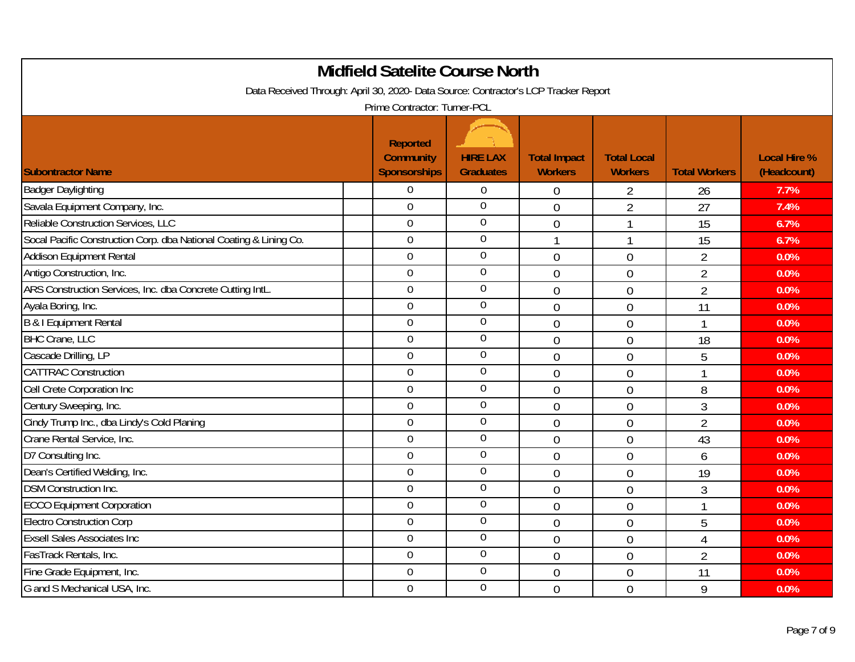|                                                                                                                     | <b>Midfield Satelite Course North</b>               |                                     |                                       |                                      |                      |                                    |  |  |
|---------------------------------------------------------------------------------------------------------------------|-----------------------------------------------------|-------------------------------------|---------------------------------------|--------------------------------------|----------------------|------------------------------------|--|--|
| Data Received Through: April 30, 2020- Data Source: Contractor's LCP Tracker Report<br>Prime Contractor: Turner-PCL |                                                     |                                     |                                       |                                      |                      |                                    |  |  |
| <b>Subontractor Name</b>                                                                                            | <b>Reported</b><br><b>Community</b><br>Sponsorships | <b>HIRE LAX</b><br><b>Graduates</b> | <b>Total Impact</b><br><b>Workers</b> | <b>Total Local</b><br><b>Workers</b> | <b>Total Workers</b> | <b>Local Hire %</b><br>(Headcount) |  |  |
| <b>Badger Daylighting</b>                                                                                           | $\theta$                                            | $\boldsymbol{0}$                    | $\mathbf 0$                           | 2                                    | 26                   | 7.7%                               |  |  |
| Savala Equipment Company, Inc.                                                                                      | $\overline{0}$                                      | $\overline{0}$                      | $\overline{0}$                        | $\overline{2}$                       | 27                   | 7.4%                               |  |  |
| Reliable Construction Services, LLC                                                                                 | $\mathbf 0$                                         | $\overline{0}$                      | $\overline{0}$                        | $\mathbf{1}$                         | 15                   | 6.7%                               |  |  |
| Socal Pacific Construction Corp. dba National Coating & Lining Co.                                                  | $\mathbf 0$                                         | $\overline{0}$                      |                                       |                                      | 15                   | 6.7%                               |  |  |
| Addison Equipment Rental                                                                                            | $\overline{0}$                                      | $\overline{0}$                      | $\mathbf 0$                           | $\mathbf 0$                          | $\overline{2}$       | 0.0%                               |  |  |
| Antigo Construction, Inc.                                                                                           | $\overline{0}$                                      | $\overline{0}$                      | $\overline{0}$                        | $\overline{0}$                       | $\overline{2}$       | 0.0%                               |  |  |
| ARS Construction Services, Inc. dba Concrete Cutting IntL.                                                          | $\overline{0}$                                      | $\overline{0}$                      | $\mathbf 0$                           | $\overline{0}$                       | $\overline{2}$       | 0.0%                               |  |  |
| Ayala Boring, Inc.                                                                                                  | $\mathbf 0$                                         | $\overline{0}$                      | $\overline{0}$                        | $\mathbf 0$                          | 11                   | 0.0%                               |  |  |
| B & I Equipment Rental                                                                                              | $\overline{0}$                                      | $\mathbf 0$                         | $\overline{0}$                        | $\overline{0}$                       | $\mathbf{1}$         | 0.0%                               |  |  |
| <b>BHC Crane, LLC</b>                                                                                               | $\overline{0}$                                      | $\mathbf 0$                         | $\overline{0}$                        | $\overline{0}$                       | 18                   | 0.0%                               |  |  |
| Cascade Drilling, LP                                                                                                | $\overline{0}$                                      | $\mathbf 0$                         | $\mathbf 0$                           | $\overline{0}$                       | 5                    | 0.0%                               |  |  |
| <b>CATTRAC Construction</b>                                                                                         | $\overline{0}$                                      | $\overline{0}$                      | $\mathbf 0$                           | $\mathbf 0$                          | 1                    | 0.0%                               |  |  |
| Cell Crete Corporation Inc                                                                                          | $\overline{0}$                                      | $\overline{0}$                      | $\overline{0}$                        | $\overline{0}$                       | 8                    | 0.0%                               |  |  |
| Century Sweeping, Inc.                                                                                              | $\overline{0}$                                      | $\overline{0}$                      | $\mathbf 0$                           | $\overline{0}$                       | $\overline{3}$       | 0.0%                               |  |  |
| Cindy Trump Inc., dba Lindy's Cold Planing                                                                          | $\overline{0}$                                      | $\overline{0}$                      | $\overline{0}$                        | $\overline{0}$                       | $\overline{2}$       | 0.0%                               |  |  |
| Crane Rental Service, Inc.                                                                                          | $\mathbf 0$                                         | $\overline{0}$                      | $\overline{0}$                        | $\overline{0}$                       | 43                   | 0.0%                               |  |  |
| D7 Consulting Inc.                                                                                                  | $\overline{0}$                                      | $\overline{0}$                      | $\theta$                              | $\overline{0}$                       | 6                    | 0.0%                               |  |  |
| Dean's Certified Welding, Inc.                                                                                      | $\mathbf 0$                                         | $\boldsymbol{0}$                    | $\overline{0}$                        | $\overline{0}$                       | 19                   | 0.0%                               |  |  |
| <b>DSM Construction Inc.</b>                                                                                        | $\overline{0}$                                      | $\mathbf 0$                         | $\overline{0}$                        | $\mathbf 0$                          | 3                    | 0.0%                               |  |  |
| <b>ECCO Equipment Corporation</b>                                                                                   | $\overline{0}$                                      | $\overline{0}$                      | $\overline{0}$                        | $\overline{0}$                       | $\mathbf{1}$         | 0.0%                               |  |  |
| <b>Electro Construction Corp</b>                                                                                    | $\overline{0}$                                      | $\overline{0}$                      | $\mathbf 0$                           | $\overline{0}$                       | 5                    | 0.0%                               |  |  |
| <b>Exsell Sales Associates Inc</b>                                                                                  | $\overline{0}$                                      | $\overline{0}$                      | $\overline{0}$                        | $\overline{0}$                       | $\overline{4}$       | 0.0%                               |  |  |
| FasTrack Rentals, Inc.                                                                                              | $\mathbf 0$                                         | $\overline{0}$                      | $\overline{0}$                        | $\overline{0}$                       | $\overline{2}$       | 0.0%                               |  |  |
| Fine Grade Equipment, Inc.                                                                                          | $\overline{0}$                                      | $\overline{0}$                      | $\overline{0}$                        | $\theta$                             | 11                   | 0.0%                               |  |  |
| G and S Mechanical USA, Inc.                                                                                        | $\mathbf 0$                                         | $\overline{0}$                      | $\overline{0}$                        | $\overline{0}$                       | 9                    | 0.0%                               |  |  |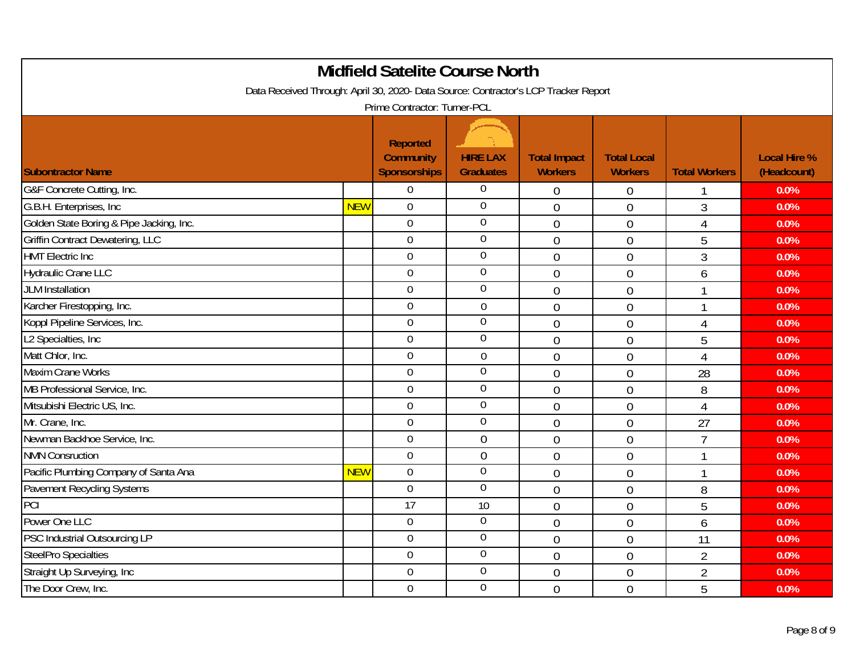| <b>Midfield Satelite Course North</b><br>Data Received Through: April 30, 2020- Data Source: Contractor's LCP Tracker Report |            |                                                            |                                     |                                       |                                      |                      |                                    |  |
|------------------------------------------------------------------------------------------------------------------------------|------------|------------------------------------------------------------|-------------------------------------|---------------------------------------|--------------------------------------|----------------------|------------------------------------|--|
| Prime Contractor: Turner-PCL                                                                                                 |            |                                                            |                                     |                                       |                                      |                      |                                    |  |
| <b>Subontractor Name</b>                                                                                                     |            | <b>Reported</b><br><b>Community</b><br><b>Sponsorships</b> | <b>HIRE LAX</b><br><b>Graduates</b> | <b>Total Impact</b><br><b>Workers</b> | <b>Total Local</b><br><b>Workers</b> | <b>Total Workers</b> | <b>Local Hire %</b><br>(Headcount) |  |
| G&F Concrete Cutting, Inc.                                                                                                   |            | $\boldsymbol{0}$                                           | $\overline{0}$                      | $\mathbf 0$                           | 0                                    |                      | 0.0%                               |  |
| G.B.H. Enterprises, Inc.                                                                                                     | <b>NEW</b> | $\overline{0}$                                             | $\overline{0}$                      | $\overline{0}$                        | $\overline{0}$                       | $\mathfrak{Z}$       | 0.0%                               |  |
| Golden State Boring & Pipe Jacking, Inc.                                                                                     |            | $\overline{0}$                                             | $\overline{0}$                      | $\mathbf 0$                           | $\mathbf 0$                          | $\overline{4}$       | 0.0%                               |  |
| <b>Griffin Contract Dewatering, LLC</b>                                                                                      |            | $\overline{0}$                                             | $\overline{0}$                      | $\overline{0}$                        | $\overline{0}$                       | 5                    | 0.0%                               |  |
| <b>HMT</b> Electric Inc                                                                                                      |            | $\mathbf 0$                                                | $\overline{0}$                      | $\overline{0}$                        | $\overline{0}$                       | $\overline{3}$       | 0.0%                               |  |
| Hydraulic Crane LLC                                                                                                          |            | $\overline{0}$                                             | $\overline{0}$                      | $\mathbf 0$                           | 0                                    | 6                    | 0.0%                               |  |
| <b>JLM</b> Installation                                                                                                      |            | $\mathbf 0$                                                | $\boldsymbol{0}$                    | $\overline{0}$                        | $\overline{0}$                       |                      | 0.0%                               |  |
| Karcher Firestopping, Inc.                                                                                                   |            | 0                                                          | $\boldsymbol{0}$                    | $\mathbf 0$                           | $\overline{0}$                       | 1                    | 0.0%                               |  |
| Koppl Pipeline Services, Inc.                                                                                                |            | 0                                                          | $\overline{0}$                      | $\overline{0}$                        | $\overline{0}$                       | $\overline{4}$       | 0.0%                               |  |
| L2 Specialties, Inc                                                                                                          |            | $\mathbf 0$                                                | $\overline{0}$                      | $\mathbf 0$                           | $\mathbf 0$                          | 5                    | 0.0%                               |  |
| Matt Chlor, Inc.                                                                                                             |            | $\overline{0}$                                             | $\mathbf 0$                         | $\mathbf 0$                           | $\mathbf 0$                          | 4                    | 0.0%                               |  |
| <b>Maxim Crane Works</b>                                                                                                     |            | $\overline{0}$                                             | $\overline{0}$                      | $\overline{0}$                        | 0                                    | 28                   | 0.0%                               |  |
| MB Professional Service, Inc.                                                                                                |            | $\overline{0}$                                             | $\overline{0}$                      | $\overline{0}$                        | 0                                    | 8                    | 0.0%                               |  |
| Mitsubishi Electric US, Inc.                                                                                                 |            | $\mathbf 0$                                                | $\boldsymbol{0}$                    | $\overline{0}$                        | $\overline{0}$                       | $\overline{4}$       | 0.0%                               |  |
| Mr. Crane, Inc.                                                                                                              |            | $\mathbf 0$                                                | $\boldsymbol{0}$                    | $\overline{0}$                        | $\overline{0}$                       | 27                   | 0.0%                               |  |
| Newman Backhoe Service, Inc.                                                                                                 |            | $\overline{0}$                                             | $\theta$                            | $\overline{0}$                        | $\overline{0}$                       | $\overline{7}$       | 0.0%                               |  |
| <b>NMN Consruction</b>                                                                                                       |            | $\overline{0}$                                             | $\mathbf 0$                         | $\overline{0}$                        | $\overline{0}$                       | 1                    | 0.0%                               |  |
| Pacific Plumbing Company of Santa Ana                                                                                        | <b>NEW</b> | $\mathbf 0$                                                | $\overline{0}$                      | $\overline{0}$                        | $\overline{0}$                       |                      | 0.0%                               |  |
| Pavement Recycling Systems                                                                                                   |            | $\overline{0}$                                             | $\overline{0}$                      | $\overline{0}$                        | $\overline{0}$                       | 8                    | 0.0%                               |  |
| PCI                                                                                                                          |            | 17                                                         | 10                                  | $\overline{0}$                        | 0                                    | 5                    | 0.0%                               |  |
| Power One LLC                                                                                                                |            | $\overline{0}$                                             | $\mathbf 0$                         | $\mathbf 0$                           | 0                                    | 6                    | 0.0%                               |  |
| PSC Industrial Outsourcing LP                                                                                                |            | $\mathbf 0$                                                | $\overline{0}$                      | $\overline{0}$                        | $\overline{0}$                       | 11                   | 0.0%                               |  |
| SteelPro Specialties                                                                                                         |            | $\overline{0}$                                             | $\overline{0}$                      | $\overline{0}$                        | $\overline{0}$                       | $\overline{2}$       | 0.0%                               |  |
| Straight Up Surveying, Inc                                                                                                   |            | $\overline{0}$                                             | $\overline{0}$                      | $\overline{0}$                        | $\overline{0}$                       | $\overline{2}$       | 0.0%                               |  |
| The Door Crew, Inc.                                                                                                          |            | $\mathbf 0$                                                | $\overline{0}$                      | $\overline{0}$                        | $\overline{0}$                       | 5                    | 0.0%                               |  |